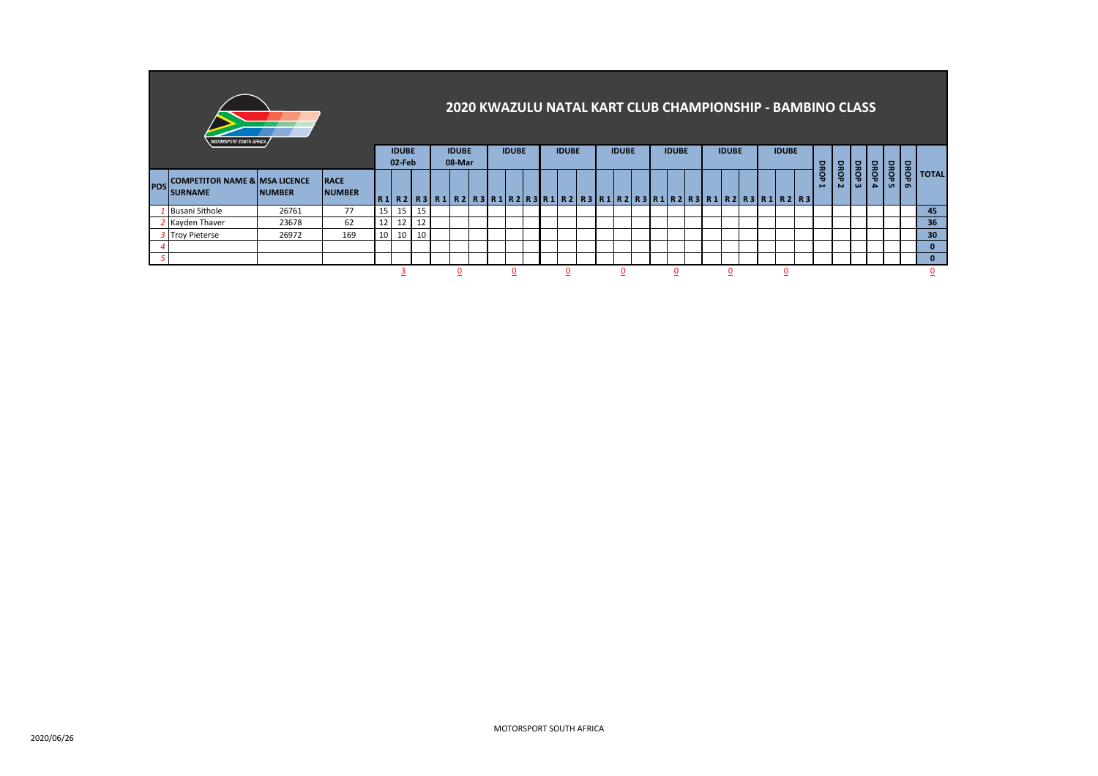|            | <i><b>MOTORSPORT SOUTH AFRICA /</b></i>                    |               |                              |                 |                        |    |              |  |              |  |              |  |              |  |              |  |              |  |   | 2020 KWAZULU NATAL KART CLUB CHAMPIONSHIP - BAMBINO CLASS               |                       |           |                                      |      |                       |           |              |
|------------|------------------------------------------------------------|---------------|------------------------------|-----------------|------------------------|----|--------------|--|--------------|--|--------------|--|--------------|--|--------------|--|--------------|--|---|-------------------------------------------------------------------------|-----------------------|-----------|--------------------------------------|------|-----------------------|-----------|--------------|
|            |                                                            |               | <b>IDUBE</b><br>02-Feb       |                 | <b>IDUBE</b><br>08-Mar |    | <b>IDUBE</b> |  | <b>IDUBE</b> |  | <b>IDUBE</b> |  | <b>IDUBE</b> |  | <b>IDUBE</b> |  | <b>IDUBE</b> |  |   |                                                                         |                       |           |                                      |      |                       |           |              |
| <b>POS</b> | <b>COMPETITOR NAME &amp; MSA LICENCE</b><br><b>SURNAME</b> | <b>NUMBER</b> | <b>RACE</b><br><b>NUMBER</b> |                 |                        |    |              |  |              |  |              |  |              |  |              |  |              |  |   | R1 R2 R3 R1 R2 R3 R1 R2 R3 R1 R2 R3 R1 R2 R3 R1 R2 R3 R1 R2 R3 R1 R2 R3 | DROP<br>$\rightarrow$ | DROP<br>Ñ | <b>DROP</b><br>$\boldsymbol{\omega}$ | DROP | DROP<br>$\frac{1}{4}$ | DROP<br>െ | <b>TOTAL</b> |
|            | <b>Busani Sithole</b>                                      | 26761         | 77                           | 15 <sup>1</sup> | 15 <sup>1</sup>        | 15 |              |  |              |  |              |  |              |  |              |  |              |  |   |                                                                         |                       |           |                                      |      |                       |           | 45           |
|            | Kayden Thaver                                              | 23678         | 62                           | 12              | 12 <sub>1</sub>        | 12 |              |  |              |  |              |  |              |  |              |  |              |  |   |                                                                         |                       |           |                                      |      |                       |           | 36           |
|            | 3 Troy Pieterse                                            | 26972         | 169                          | 10 <sup>1</sup> | 10                     | 10 |              |  |              |  |              |  |              |  |              |  |              |  |   |                                                                         |                       |           |                                      |      |                       |           | 30           |
|            |                                                            |               |                              |                 |                        |    |              |  |              |  |              |  |              |  |              |  |              |  |   |                                                                         |                       |           |                                      |      |                       |           | 0            |
|            |                                                            |               |                              |                 |                        |    |              |  |              |  |              |  |              |  |              |  |              |  |   |                                                                         |                       |           |                                      |      |                       |           | $\Omega$     |
|            |                                                            |               |                              |                 |                        |    |              |  |              |  | 0            |  | 0            |  | 0            |  |              |  | 0 |                                                                         |                       |           |                                      |      |                       |           | υ            |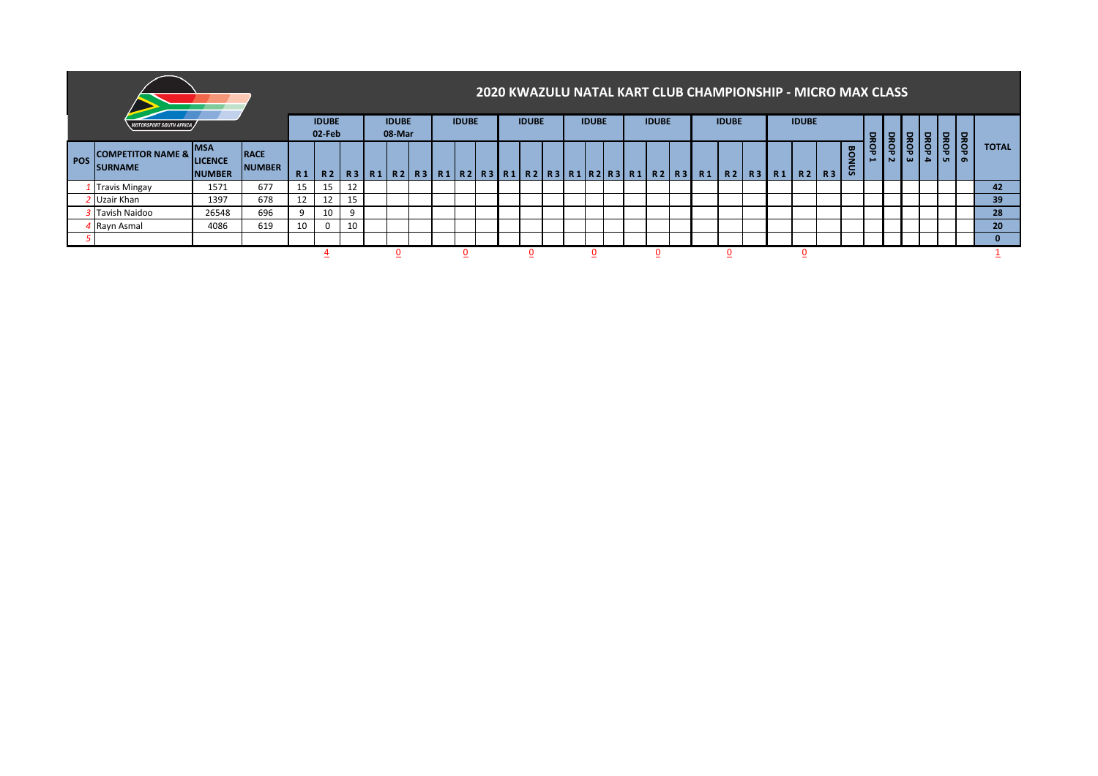|            |                                                   |                                               |                              |                        |    |                        |  |              |  |              |  |              |  |              |  | 2020 KWAZULU NATAL KART CLUB CHAMPIONSHIP - MICRO MAX CLASS                                                      |  |              |  |                  |  |     |           |          |    |              |
|------------|---------------------------------------------------|-----------------------------------------------|------------------------------|------------------------|----|------------------------|--|--------------|--|--------------|--|--------------|--|--------------|--|------------------------------------------------------------------------------------------------------------------|--|--------------|--|------------------|--|-----|-----------|----------|----|--------------|
|            | <i>MOTORSPORT SOUTH AFRICA</i>                    |                                               |                              | <b>IDUBE</b><br>02-Feb |    | <b>IDUBE</b><br>08-Mar |  | <b>IDUBE</b> |  | <b>IDUBE</b> |  | <b>IDUBE</b> |  | <b>IDUBE</b> |  | <b>IDUBE</b>                                                                                                     |  | <b>IDUBE</b> |  | ç                |  |     | $\bullet$ | e        |    |              |
| <b>POS</b> | <b>COMPETITOR NAME &amp; I</b><br><b>ISURNAME</b> | <b>MSA</b><br><b>LICENCE</b><br><b>NUMBER</b> | <b>RACE</b><br><b>NUMBER</b> | <b>R1</b>              |    |                        |  |              |  |              |  |              |  |              |  | R2   R3   R1   R2   R3   R1   R2   R3   R1   R2   R3   R1   R2   R3   R1   R2   R3   R1   R2   R3   R1   R2   R3 |  |              |  | <b>BON</b><br>Sĩ |  | BRO | ' ധ       | $\Delta$ | Ιı | <b>TOTAL</b> |
|            | I Travis Mingay                                   | 1571                                          | 677                          | 15                     | 15 | 12                     |  |              |  |              |  |              |  |              |  |                                                                                                                  |  |              |  |                  |  |     |           |          |    | 42           |
|            | Uzair Khan                                        | 1397                                          | 678                          | 12                     | 12 | 15                     |  |              |  |              |  |              |  |              |  |                                                                                                                  |  |              |  |                  |  |     |           |          |    | 39           |
|            | 3 Tavish Naidoo                                   | 26548                                         | 696                          | Q                      | 10 | 9                      |  |              |  |              |  |              |  |              |  |                                                                                                                  |  |              |  |                  |  |     |           |          |    | 28           |
|            | 4 Rayn Asmal                                      | 4086                                          | 619                          | 10                     |    | 10                     |  |              |  |              |  |              |  |              |  |                                                                                                                  |  |              |  |                  |  |     |           |          |    | 20           |
|            |                                                   |                                               |                              |                        |    |                        |  |              |  |              |  |              |  |              |  |                                                                                                                  |  |              |  |                  |  |     |           |          |    |              |
|            |                                                   |                                               |                              |                        |    |                        |  |              |  |              |  |              |  |              |  |                                                                                                                  |  |              |  |                  |  |     |           |          |    |              |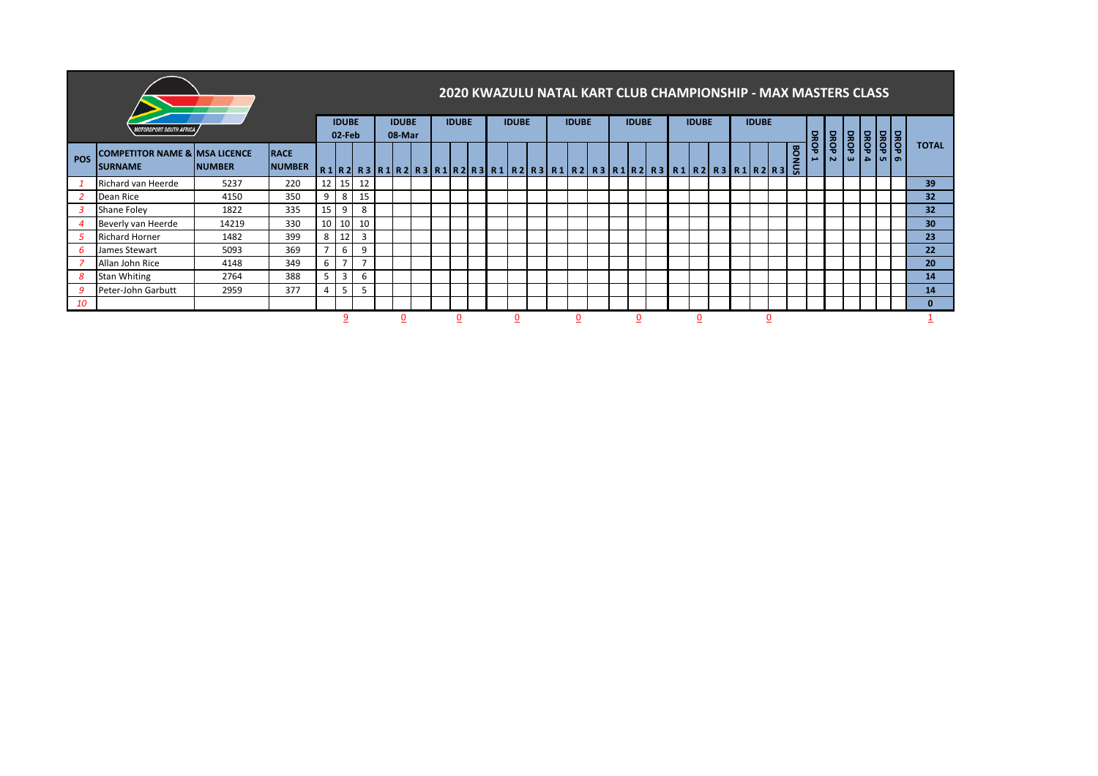|     |                                                                       |                        |     |                        |                 |              |  |              |  |              |  |              |  |                                                                                                 | 2020 KWAZULU NATAL KART CLUB CHAMPIONSHIP - MAX MASTERS CLASS |              |   |            |                                         |                             |  |                                                            |              |  |                 |
|-----|-----------------------------------------------------------------------|------------------------|-----|------------------------|-----------------|--------------|--|--------------|--|--------------|--|--------------|--|-------------------------------------------------------------------------------------------------|---------------------------------------------------------------|--------------|---|------------|-----------------------------------------|-----------------------------|--|------------------------------------------------------------|--------------|--|-----------------|
|     | <b>MOTORSPORT SOUTH AFRICA</b>                                        | <b>IDUBE</b><br>02-Feb |     | <b>IDUBE</b><br>08-Mar |                 | <b>IDUBE</b> |  | <b>IDUBE</b> |  | <b>IDUBE</b> |  | <b>IDUBE</b> |  | <b>IDUBE</b>                                                                                    |                                                               | <b>IDUBE</b> |   |            |                                         |                             |  |                                                            |              |  |                 |
| POS | <b>COMPETITOR NAME &amp; MSA LICENCE</b><br><b>NUMBER</b><br>ISURNAME |                        |     |                        |                 |              |  |              |  |              |  |              |  | R1 R2  R3  R1 R2  R3  R1 R2  R3  R1  R2  R3  R1  R2  R3  R1  R2  R3  R1  R2  R3  R1  R2  R3   G |                                                               |              |   | <b>BON</b> | <b>DROP</b><br>$\overline{\phantom{a}}$ | <b>DROP</b><br>$\mathbf{N}$ |  | $\frac{1}{8}$<br>$\omega$   $\omega$   $\omega$   $\omega$ | <b>TOTAL</b> |  |                 |
|     | Richard van Heerde                                                    | 5237                   | 220 | 12 <sup>1</sup>        | 15 <sup>1</sup> | 12           |  |              |  |              |  |              |  |                                                                                                 |                                                               |              |   |            |                                         |                             |  |                                                            |              |  | 39              |
|     | Dean Rice                                                             | 4150                   | 350 | 9                      | 8               | 15           |  |              |  |              |  |              |  |                                                                                                 |                                                               |              |   |            |                                         |                             |  |                                                            |              |  | 32              |
|     | Shane Foley                                                           | 1822                   | 335 | 15 <sup>1</sup>        | 9               | 8            |  |              |  |              |  |              |  |                                                                                                 |                                                               |              |   |            |                                         |                             |  |                                                            |              |  | 32              |
| Δ   | Beverly van Heerde                                                    | 14219                  | 330 | 10 <sup>1</sup>        | 10              | 10           |  |              |  |              |  |              |  |                                                                                                 |                                                               |              |   |            |                                         |                             |  |                                                            |              |  | 30 <sup>°</sup> |
|     | <b>Richard Horner</b>                                                 | 1482                   | 399 | 8                      | 12              | 3            |  |              |  |              |  |              |  |                                                                                                 |                                                               |              |   |            |                                         |                             |  |                                                            |              |  | 23              |
| 6   | James Stewart                                                         | 5093                   | 369 | $\overline{ }$         | 6               | 9            |  |              |  |              |  |              |  |                                                                                                 |                                                               |              |   |            |                                         |                             |  |                                                            |              |  | 22              |
|     | Allan John Rice                                                       | 4148                   | 349 | 6                      |                 | <u>ъ</u>     |  |              |  |              |  |              |  |                                                                                                 |                                                               |              |   |            |                                         |                             |  |                                                            |              |  | 20              |
| 8   | Stan Whiting                                                          | 2764                   | 388 | 5                      | $\overline{3}$  | 6            |  |              |  |              |  |              |  |                                                                                                 |                                                               |              |   |            |                                         |                             |  |                                                            |              |  | 14              |
| 9   | Peter-John Garbutt                                                    | 2959                   | 377 | 4                      |                 | 5            |  |              |  |              |  |              |  |                                                                                                 |                                                               |              |   |            |                                         |                             |  |                                                            |              |  | 14              |
| 10  |                                                                       |                        |     |                        |                 |              |  |              |  |              |  |              |  |                                                                                                 |                                                               |              |   |            |                                         |                             |  |                                                            |              |  | 0               |
|     |                                                                       |                        |     |                        |                 |              |  |              |  |              |  |              |  |                                                                                                 | n                                                             |              | 0 |            |                                         |                             |  |                                                            |              |  |                 |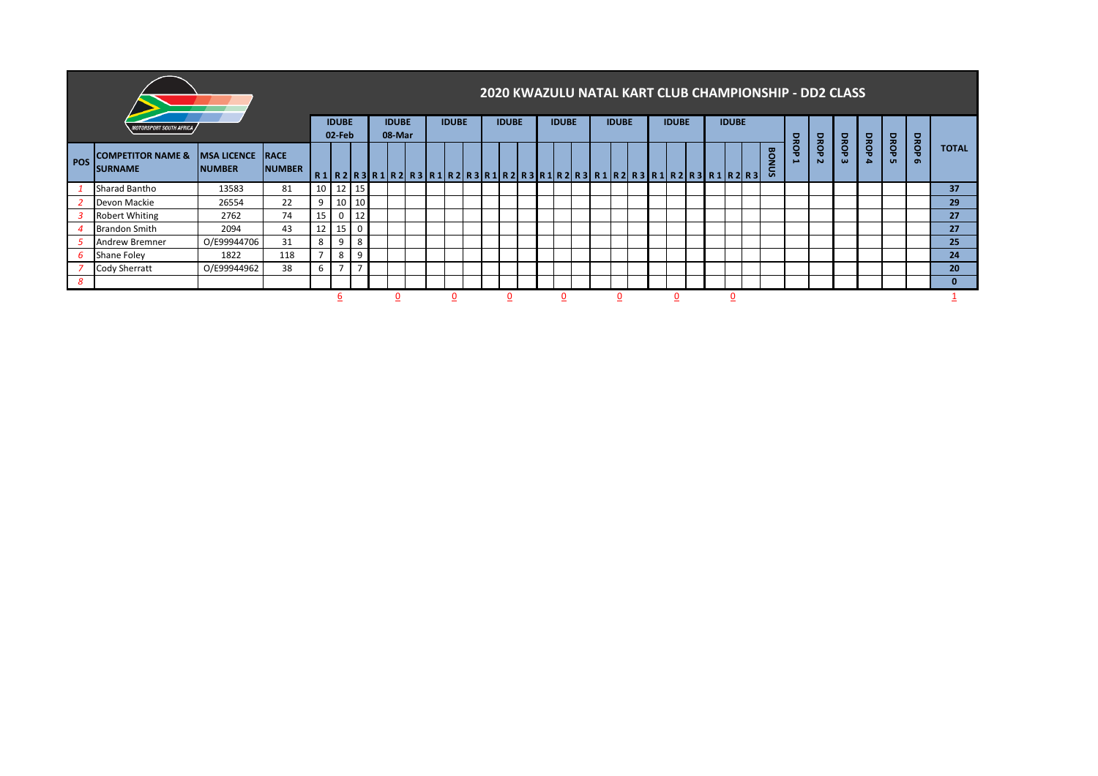|     |                                                 |                                           |                        |    |                        |              |                                                                         |              |  |              |  |              |  |              |  |              |  |  | 2020 KWAZULU NATAL KART CLUB CHAMPIONSHIP - DD2 CLASS |            |                               |                  |                  |             |                  |              |
|-----|-------------------------------------------------|-------------------------------------------|------------------------|----|------------------------|--------------|-------------------------------------------------------------------------|--------------|--|--------------|--|--------------|--|--------------|--|--------------|--|--|-------------------------------------------------------|------------|-------------------------------|------------------|------------------|-------------|------------------|--------------|
|     | MOTORSPORT SOUTH A <u>frica ,</u>               |                                           | <b>IDUBE</b><br>02-Feb |    | <b>IDUBE</b><br>08-Mar | <b>IDUBE</b> |                                                                         | <b>IDUBE</b> |  | <b>IDUBE</b> |  | <b>IDUBE</b> |  | <b>IDUBE</b> |  | <b>IDUBE</b> |  |  |                                                       |            |                               |                  |                  |             |                  |              |
| POS | <b>COMPETITOR NAME &amp;</b><br><b>ISURNAME</b> | <b>IMSA LICENCE RACE</b><br><b>NUMBER</b> | <b>NUMBER</b>          |    |                        |              | R1 R2 R3 R1 R2 R3 R1 R2 R3 R1 R2 R3 R1 R2 R3 R1 R2 R3 R1 R2 R3 R1 R2 R3 |              |  |              |  |              |  |              |  |              |  |  | BONUS                                                 | DROP<br>÷. | <b>DROP</b><br>$\overline{N}$ | DROP<br>$\omega$ | DROP<br>$\Delta$ | DROP<br>uп. | DROP<br>$\sigma$ | <b>TOTAL</b> |
|     | Sharad Bantho                                   | 13583                                     | 81                     |    | 10 12 15               |              |                                                                         |              |  |              |  |              |  |              |  |              |  |  |                                                       |            |                               |                  |                  |             |                  | 37           |
|     | Devon Mackie                                    | 26554                                     | 22                     | 9  | 10                     | 10           |                                                                         |              |  |              |  |              |  |              |  |              |  |  |                                                       |            |                               |                  |                  |             |                  | 29           |
|     | Robert Whiting                                  | 2762                                      | 74                     | 15 | 0                      | 12           |                                                                         |              |  |              |  |              |  |              |  |              |  |  |                                                       |            |                               |                  |                  |             |                  | 27           |
|     | <b>Brandon Smith</b>                            | 2094                                      | 43                     | 12 | 15                     | $\mathbf 0$  |                                                                         |              |  |              |  |              |  |              |  |              |  |  |                                                       |            |                               |                  |                  |             |                  | 27           |
|     | Andrew Bremner                                  | O/E99944706                               | 31                     | 8  | 9                      | 8            |                                                                         |              |  |              |  |              |  |              |  |              |  |  |                                                       |            |                               |                  |                  |             |                  | 25           |
|     | Shane Foley                                     | 1822                                      | 118                    |    | 8                      | 9            |                                                                         |              |  |              |  |              |  |              |  |              |  |  |                                                       |            |                               |                  |                  |             |                  | 24           |
|     | Cody Sherratt                                   | O/E99944962                               | 38                     | ь  | -                      | ь,           |                                                                         |              |  |              |  |              |  |              |  |              |  |  |                                                       |            |                               |                  |                  |             |                  | 20           |
| 8   |                                                 |                                           |                        |    |                        |              |                                                                         |              |  |              |  |              |  |              |  |              |  |  |                                                       |            |                               |                  |                  |             |                  | 0            |
|     |                                                 |                                           |                        |    | ь                      |              |                                                                         |              |  |              |  |              |  |              |  |              |  |  |                                                       |            |                               |                  |                  |             |                  |              |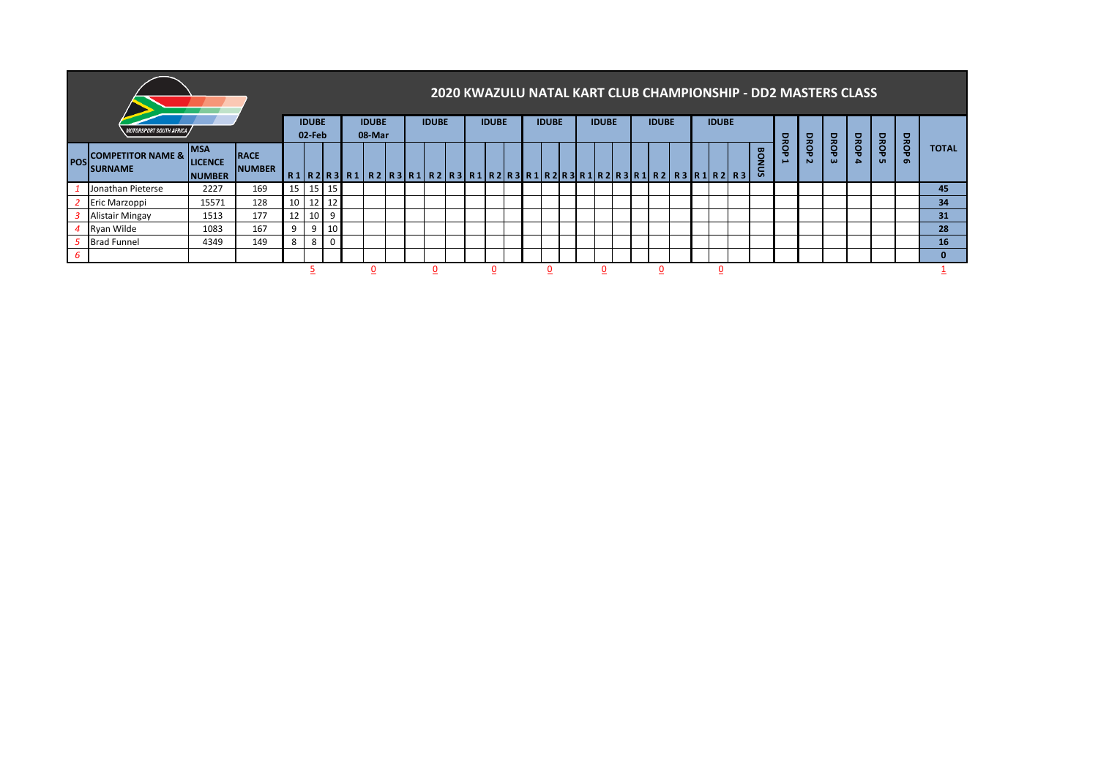|               |                                                |                                                |                              |              |                   |                 |                                                                         |              |  |              |  |              |  |              |  |              |  |              |  | 2020 KWAZULU NATAL KART CLUB CHAMPIONSHIP - DD2 MASTERS CLASS |              |      |          |             |                           |                   |              |
|---------------|------------------------------------------------|------------------------------------------------|------------------------------|--------------|-------------------|-----------------|-------------------------------------------------------------------------|--------------|--|--------------|--|--------------|--|--------------|--|--------------|--|--------------|--|---------------------------------------------------------------|--------------|------|----------|-------------|---------------------------|-------------------|--------------|
|               | <b>MOTORSPORT SOUTH AFRICA</b>                 |                                                |                              | <b>IDUBE</b> |                   | <b>IDUBE</b>    |                                                                         | <b>IDUBE</b> |  | <b>IDUBE</b> |  | <b>IDUBE</b> |  | <b>IDUBE</b> |  | <b>IDUBE</b> |  | <b>IDUBE</b> |  |                                                               |              |      |          |             |                           |                   |              |
|               |                                                |                                                |                              |              | 02-Feb            |                 | 08-Mar                                                                  |              |  |              |  |              |  |              |  |              |  |              |  |                                                               | o<br>≂<br>Ö  | DROP | DROP     | <b>DROP</b> | <b>DRO</b>                | BRO               | <b>TOTAL</b> |
| <b>I</b> POSI | <b>COMPETITOR NAME &amp;</b><br><b>SURNAME</b> | <b>IMSA</b><br><b>LICENCE</b><br><b>NUMBER</b> | <b>RACE</b><br><b>NUMBER</b> |              |                   |                 | R1 R2 R3 R1 R2 R3 R1 R2 R3 R1 R2 R3 R1 R2 R3 R1 R2 R3 R1 R2 R3 R1 R2 R3 |              |  |              |  |              |  |              |  |              |  |              |  | <b>BONUS</b>                                                  | $\mathbf{v}$ | N    | $\omega$ | <b>A</b>    | $\mathbf{u}$<br><b>un</b> | $\mathbf{u}$<br>െ |              |
|               | Jonathan Pieterse                              | 2227                                           | 169                          | 15           | , 15   1          | 15 <sub>1</sub> |                                                                         |              |  |              |  |              |  |              |  |              |  |              |  |                                                               |              |      |          |             |                           |                   | 45           |
|               | Eric Marzoppi                                  | 15571                                          | 128                          |              | $10 \mid 12 \mid$ | $12 \square$    |                                                                         |              |  |              |  |              |  |              |  |              |  |              |  |                                                               |              |      |          |             |                           |                   | 34           |
|               | <b>Alistair Mingay</b>                         | 1513                                           | 177                          | ΤT           | 10                | 9               |                                                                         |              |  |              |  |              |  |              |  |              |  |              |  |                                                               |              |      |          |             |                           |                   | 31           |
|               | Ryan Wilde                                     | 1083                                           | 167                          | 9            | 9                 | 10 <sub>l</sub> |                                                                         |              |  |              |  |              |  |              |  |              |  |              |  |                                                               |              |      |          |             |                           |                   | 28           |
|               | <b>Brad Funnel</b>                             | 4349                                           | 149                          | 8            | 8                 | $\Omega$        |                                                                         |              |  |              |  |              |  |              |  |              |  |              |  |                                                               |              |      |          |             |                           |                   | 16           |
| 6             |                                                |                                                |                              |              |                   |                 |                                                                         |              |  |              |  |              |  |              |  |              |  |              |  |                                                               |              |      |          |             |                           |                   | $\Omega$     |
|               |                                                |                                                |                              |              |                   |                 |                                                                         |              |  |              |  |              |  |              |  |              |  |              |  |                                                               |              |      |          |             |                           |                   |              |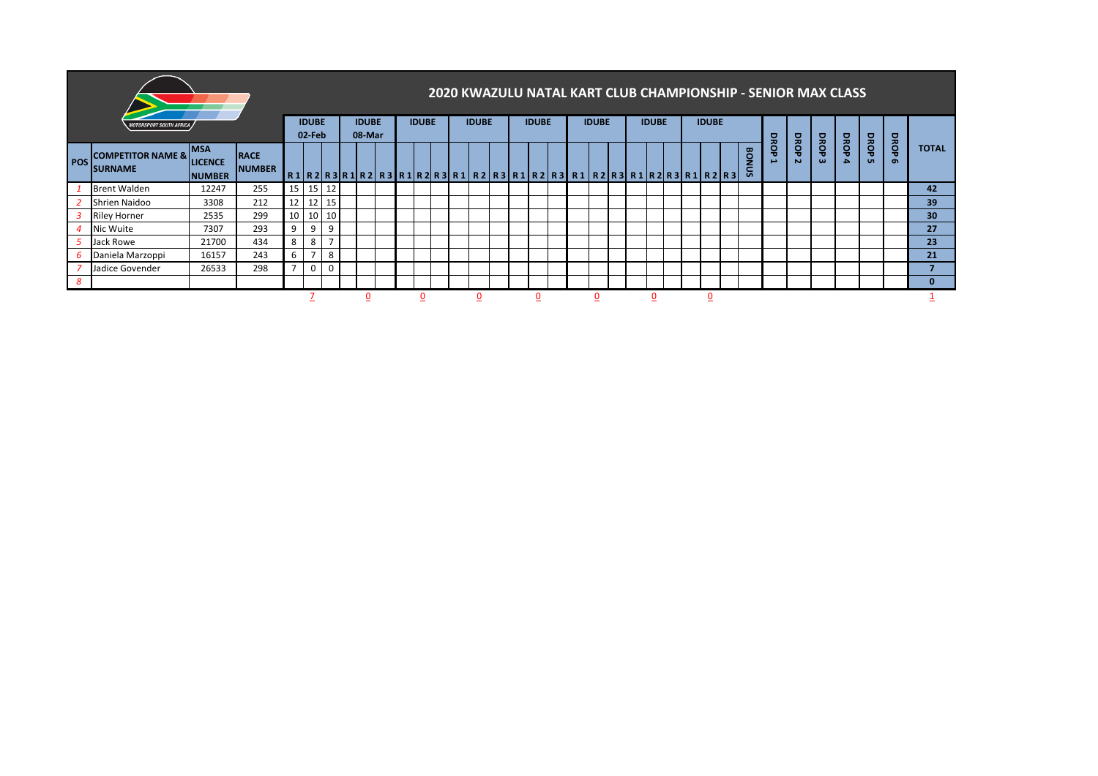|            |                                                   |                                                |                              |                          |                 |                |  |              |  |              |  |              |  |              |                                                                            |  |  |  |  |  |              |                                  |      | 2020 KWAZULU NATAL KART CLUB CHAMPIONSHIP - SENIOR MAX CLASS |           |                      |                         |                 |
|------------|---------------------------------------------------|------------------------------------------------|------------------------------|--------------------------|-----------------|----------------|--|--------------|--|--------------|--|--------------|--|--------------|----------------------------------------------------------------------------|--|--|--|--|--|--------------|----------------------------------|------|--------------------------------------------------------------|-----------|----------------------|-------------------------|-----------------|
|            | <b>IOTORSPORT SOUTH AFRICA</b>                    | <b>IDUBE</b><br>08-Mar                         |                              | <b>IDUBE</b>             |                 | <b>IDUBE</b>   |  | <b>IDUBE</b> |  | <b>IDUBE</b> |  | <b>IDUBE</b> |  | <b>IDUBE</b> |                                                                            |  |  |  |  |  |              |                                  |      |                                                              |           |                      |                         |                 |
| <b>POS</b> | <b>COMPETITOR NAME &amp;  </b><br><b>ISURNAME</b> | <b>IMSA</b><br><b>LICENCE</b><br><b>NUMBER</b> | <b>RACE</b><br><b>NUMBER</b> |                          | 02-Feb          |                |  |              |  |              |  |              |  |              | R1 R2 R3 R1 R2 R3 R1 R2 R3 R1  R2 R3 R1 R2 R3  R1 R2 R3  R1 R2 R3 R1 R2 R3 |  |  |  |  |  | ទី<br>z<br>g | DROP<br>$\overline{\phantom{a}}$ | DROP | DROP<br>$\omega$                                             | DROP<br>A | DROP<br>$\mathbf{u}$ | <b>DROP</b><br>$\sigma$ | <b>TOTAL</b>    |
|            | <b>Brent Walden</b>                               | 12247                                          | 255                          | 15 <sub>1</sub>          | 15 12           |                |  |              |  |              |  |              |  |              |                                                                            |  |  |  |  |  |              |                                  |      |                                                              |           |                      |                         | 42              |
|            | Shrien Naidoo                                     | 3308                                           | 212                          | 12                       |                 | 12 15          |  |              |  |              |  |              |  |              |                                                                            |  |  |  |  |  |              |                                  |      |                                                              |           |                      |                         | 39              |
|            | <b>Riley Horner</b>                               | 2535                                           | 299                          | 10                       | 10 <sup>1</sup> | 10             |  |              |  |              |  |              |  |              |                                                                            |  |  |  |  |  |              |                                  |      |                                                              |           |                      |                         | 30 <sup>°</sup> |
|            | Nic Wuite                                         | 7307                                           | 293                          | 9                        | 9               | 9              |  |              |  |              |  |              |  |              |                                                                            |  |  |  |  |  |              |                                  |      |                                                              |           |                      |                         | 27              |
|            | Jack Rowe                                         | 21700                                          | 434                          | 8                        | 8               | $\overline{ }$ |  |              |  |              |  |              |  |              |                                                                            |  |  |  |  |  |              |                                  |      |                                                              |           |                      |                         | 23              |
| 6          | Daniela Marzoppi                                  | 16157                                          | 243                          | 6                        | $\overline{7}$  | 8              |  |              |  |              |  |              |  |              |                                                                            |  |  |  |  |  |              |                                  |      |                                                              |           |                      |                         | 21              |
|            | Jadice Govender                                   | 26533                                          | 298                          | $\overline{\phantom{a}}$ | $\mathbf 0$     | 0              |  |              |  |              |  |              |  |              |                                                                            |  |  |  |  |  |              |                                  |      |                                                              |           |                      |                         |                 |
| 8          |                                                   |                                                |                              |                          |                 |                |  |              |  |              |  |              |  |              |                                                                            |  |  |  |  |  |              |                                  |      |                                                              |           |                      |                         | 0               |
|            |                                                   |                                                |                              |                          |                 |                |  |              |  |              |  |              |  |              |                                                                            |  |  |  |  |  |              |                                  |      |                                                              |           |                      |                         |                 |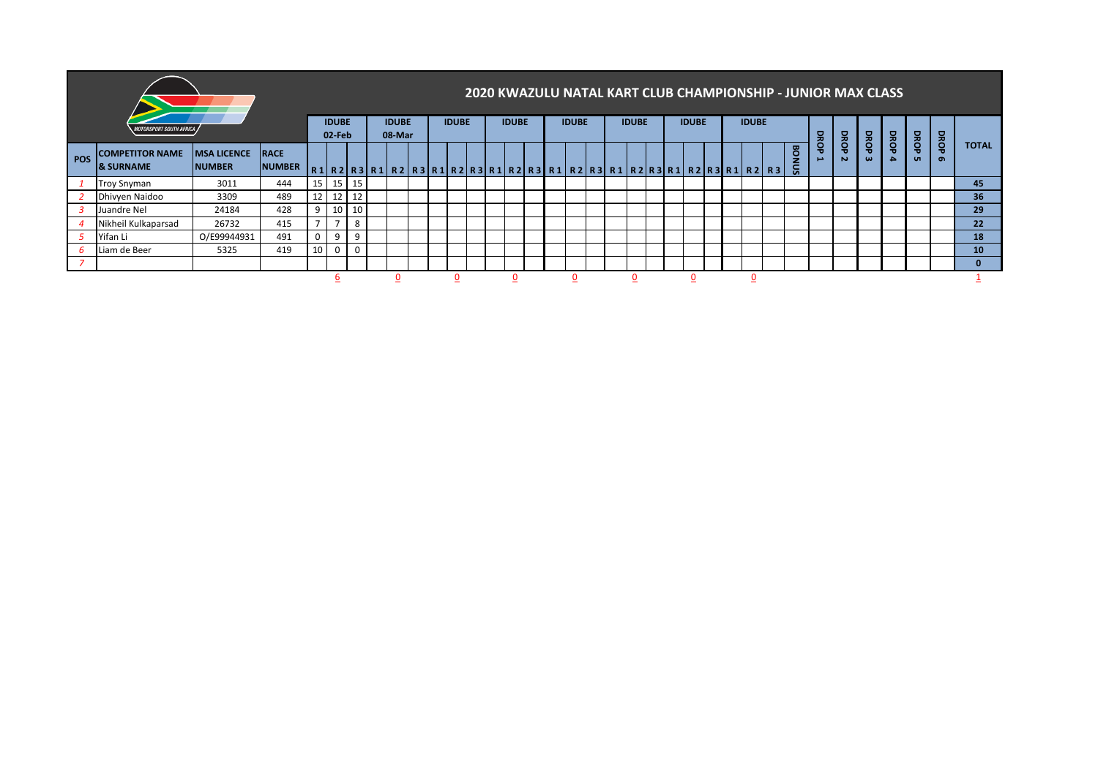|            |                                            |                                     |                              |                |                        |                   |                        |  |                                                                         |  |              |  |              |  |              |  |              |  |              | 2020 KWAZULU NATAL KART CLUB CHAMPIONSHIP - JUNIOR MAX CLASS |   |      |                  |           |                          |                         |                 |
|------------|--------------------------------------------|-------------------------------------|------------------------------|----------------|------------------------|-------------------|------------------------|--|-------------------------------------------------------------------------|--|--------------|--|--------------|--|--------------|--|--------------|--|--------------|--------------------------------------------------------------|---|------|------------------|-----------|--------------------------|-------------------------|-----------------|
|            | <i><b>MOTORSPORT SOUTH AFRICA /</b></i>    |                                     |                              |                | <b>IDUBE</b><br>02-Feb |                   | <b>IDUBE</b><br>08-Mar |  | <b>IDUBE</b>                                                            |  | <b>IDUBE</b> |  | <b>IDUBE</b> |  | <b>IDUBE</b> |  | <b>IDUBE</b> |  | <b>IDUBE</b> |                                                              | 모 |      |                  |           |                          |                         |                 |
| <b>POS</b> | <b>COMPETITOR NAME</b><br><b>8 SURNAME</b> | <b>MSA LICENCE</b><br><b>NUMBER</b> | <b>RACE</b><br><b>NUMBER</b> |                |                        |                   |                        |  | R1 R2 R3 R1 R2 R3 R1 R2 R3 R1 R2 R3 R1 R2 R3 R1 R2 R3 R1 R2 R3 R1 R2 R3 |  |              |  |              |  |              |  |              |  |              | <b>BON</b><br>S.                                             |   | BROP | DROP<br>$\omega$ | DROP<br>۵ | <b>DROP</b><br><b>un</b> | <b>DROP</b><br>$\sigma$ | <b>TOTAL</b>    |
|            | <b>Troy Snyman</b>                         | 3011                                | 444                          | 15             |                        | $15 \mid 15 \mid$ |                        |  |                                                                         |  |              |  |              |  |              |  |              |  |              |                                                              |   |      |                  |           |                          |                         | 45              |
|            | Dhivyen Naidoo                             | 3309                                | 489                          | 12             |                        | 12 12             |                        |  |                                                                         |  |              |  |              |  |              |  |              |  |              |                                                              |   |      |                  |           |                          |                         | 36 <sup>°</sup> |
|            | Juandre Nel                                | 24184                               | 428                          | 9              |                        | 10 10             |                        |  |                                                                         |  |              |  |              |  |              |  |              |  |              |                                                              |   |      |                  |           |                          |                         | 29              |
|            | Nikheil Kulkaparsad                        | 26732                               | 415                          | $\overline{ }$ | $\mathbf{z}$           | 8                 |                        |  |                                                                         |  |              |  |              |  |              |  |              |  |              |                                                              |   |      |                  |           |                          |                         | 22              |
|            | Yifan Li                                   | O/E99944931                         | 491                          | 0              | 9                      | 9                 |                        |  |                                                                         |  |              |  |              |  |              |  |              |  |              |                                                              |   |      |                  |           |                          |                         | 18              |
|            | Liam de Beer                               | 5325                                | 419                          | 10             | $\mathbf{0}$           | $\mathbf{0}$      |                        |  |                                                                         |  |              |  |              |  |              |  |              |  |              |                                                              |   |      |                  |           |                          |                         | 10 <sup>°</sup> |
|            |                                            |                                     |                              |                |                        |                   |                        |  |                                                                         |  |              |  |              |  |              |  |              |  |              |                                                              |   |      |                  |           |                          |                         |                 |
|            |                                            |                                     |                              |                |                        |                   |                        |  | o                                                                       |  |              |  |              |  |              |  |              |  |              |                                                              |   |      |                  |           |                          |                         |                 |